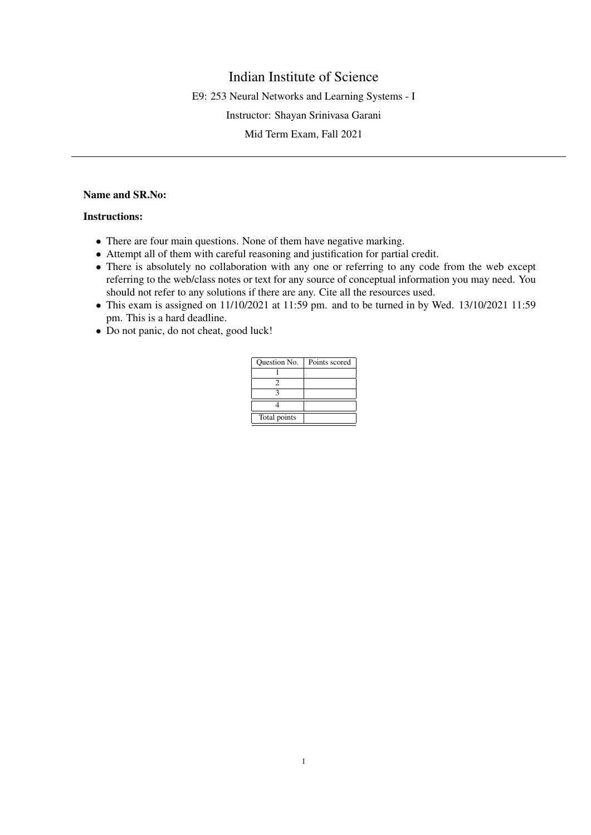# Indian Institute of Science

E9: 253 Neural Networks and Learning Systems - I

Instructor: Shayan Srinivasa Garani

Mid Term Exam, Fall 2021

# Name and SR.No:

#### Instructions:

- There are four main questions. None of them have negative marking.
- Attempt all of them with careful reasoning and justification for partial credit.
- There is absolutely no collaboration with any one or referring to any code from the web except referring to the web/class notes or text for any source of conceptual information you may need. You should not refer to any solutions if there are any. Cite all the resources used.
- This exam is assigned on 11/10/2021 at 11:59 pm. and to be turned in by Wed. 13/10/2021 11:59 pm. This is a hard deadline.
- Do not panic, do not cheat, good luck!

| Question No. | Points scored |
|--------------|---------------|
|              |               |
|              |               |
|              |               |
|              |               |
| Total points |               |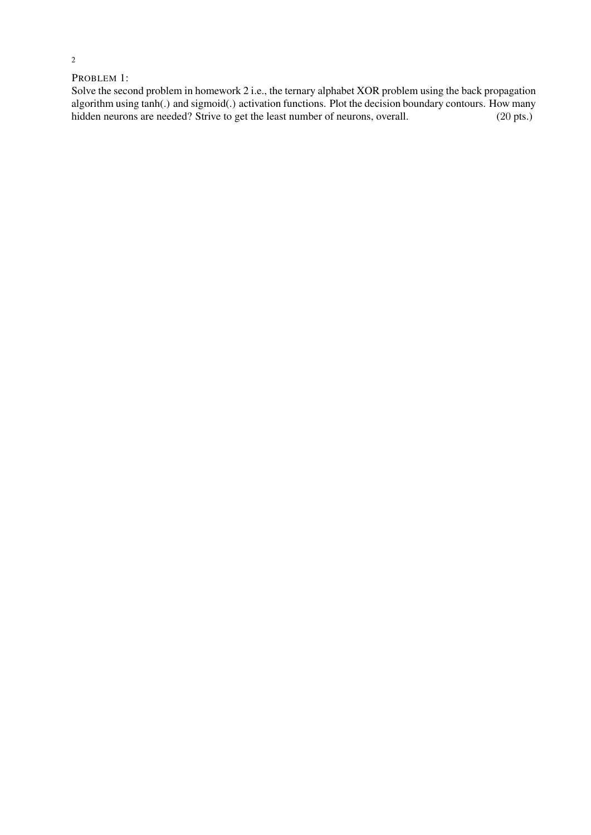## PROBLEM 1:

Solve the second problem in homework 2 i.e., the ternary alphabet XOR problem using the back propagation algorithm using tanh(.) and sigmoid(.) activation functions. Plot the decision boundary contours. How many hidden neurons are needed? Strive to get the least number of neurons, overall.  $(20 \text{ pts.})$ hidden neurons are needed? Strive to get the least number of neurons, overall.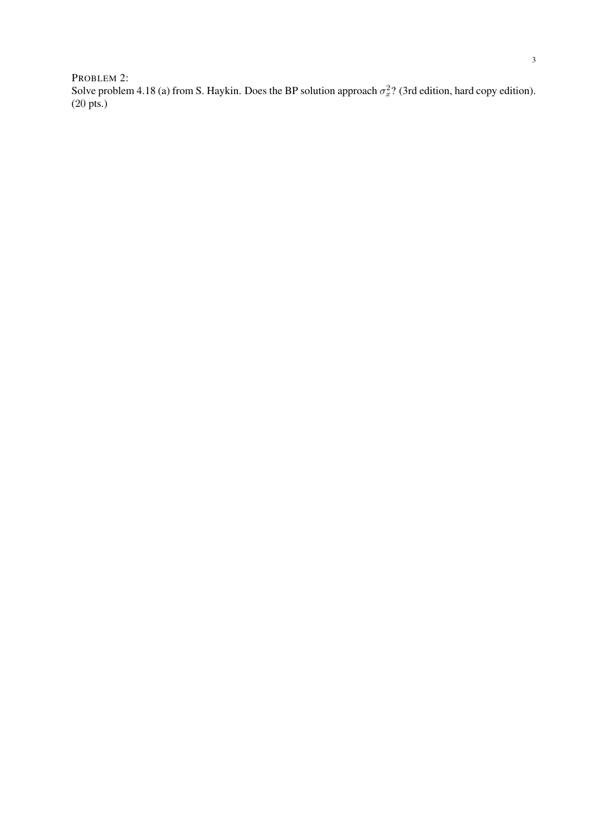PROBLEM 2: Solve problem 4.18 (a) from S. Haykin. Does the BP solution approach  $\sigma_x^2$ ? (3rd edition, hard copy edition). (20 pts.)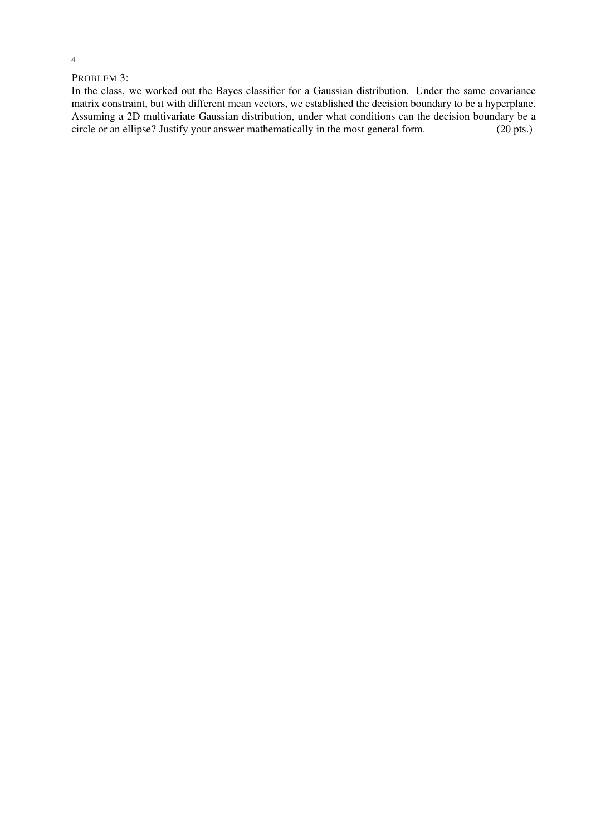### PROBLEM 3:

In the class, we worked out the Bayes classifier for a Gaussian distribution. Under the same covariance matrix constraint, but with different mean vectors, we established the decision boundary to be a hyperplane. Assuming a 2D multivariate Gaussian distribution, under what conditions can the decision boundary be a circle or an ellipse? Justify your answer mathematically in the most general form. (20 pts.)

4